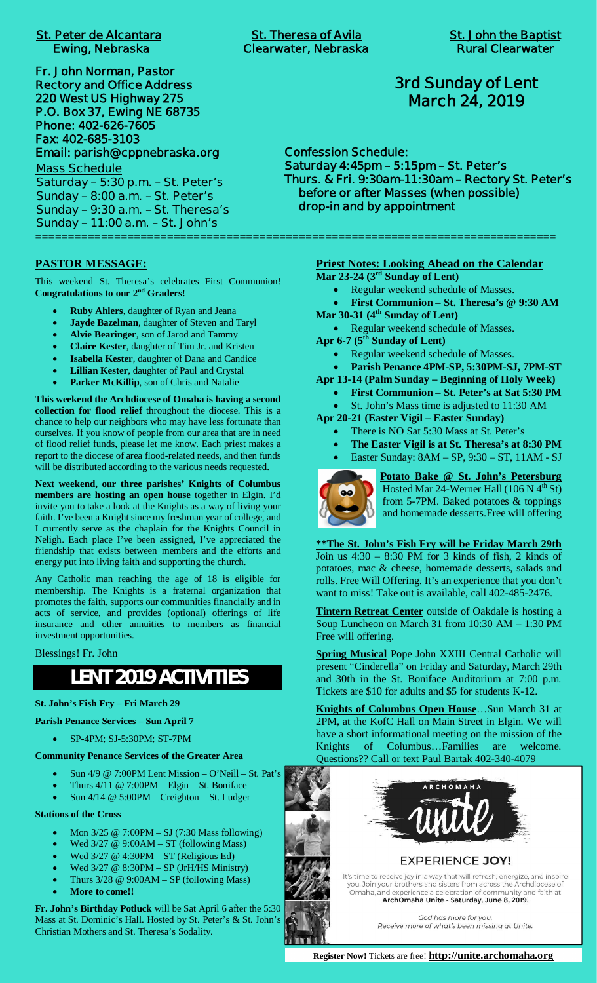# **St. Peter de Alcantara St. Theresa of Avila St. John the Baptist**

**Fr. John Norman, Pastor Rectory and Office Address 220 West US Highway 275 P.O. Box 37, Ewing NE 68735 Phone: 402-626-7605 Fax: 402-685-3103 Email: parish@cppnebraska.org**

**Mass Schedule Saturday – 5:30 p.m. – St. Peter's Sunday – 8:00 a.m. – St. Peter's Sunday – 9:30 a.m. – St. Theresa's Sunday – 11:00 a.m. – St. John's** ===============================================================================

**PASTOR MESSAGE:**

This weekend St. Theresa's celebrates First Communion! **Congratulations to our 2nd Graders!**

- **Ruby Ahlers**, daughter of Ryan and Jeana
- Jayde Bazelman, daughter of Steven and Taryl
- Alvie Bearinger, son of Jarod and Tammy
- **Claire Kester**, daughter of Tim Jr. and Kristen
- **Isabella Kester**, daughter of Dana and Candice
- **Lillian Kester**, daughter of Paul and Crystal
- Parker McKillip, son of Chris and Natalie

**This weekend the Archdiocese of Omaha is having a second collection for flood relief** throughout the diocese. This is a chance to help our neighbors who may have less fortunate than ourselves. If you know of people from our area that are in need of flood relief funds, please let me know. Each priest makes a report to the diocese of area flood-related needs, and then funds will be distributed according to the various needs requested.

**Next weekend, our three parishes' Knights of Columbus members are hosting an open house** together in Elgin. I'd invite you to take a look at the Knights as a way of living your faith. I've been a Knight since my freshman year of college, and I currently serve as the chaplain for the Knights Council in Neligh. Each place I've been assigned, I've appreciated the friendship that exists between members and the efforts and energy put into living faith and supporting the church.

Any Catholic man reaching the age of 18 is eligible for membership. The Knights is a fraternal organization that promotes the faith, supports our communities financially and in acts of service, and provides (optional) offerings of life insurance and other annuities to members as financial investment opportunities.

Blessings! Fr. John

# **LENT 2019 ACTIVITIES**

#### **St. John's Fish Fry – Fri March 29**

#### **Parish Penance Services – Sun April 7**

- · SP-4PM; SJ-5:30PM; ST-7PM
- **Community Penance Services of the Greater Area**
	- · Sun 4/9 @ 7:00PM Lent Mission O'Neill St. Pat's
	- Thurs  $4/11 \tQ$  7:00PM Elgin St. Boniface
	- Sun 4/14 @ 5:00PM Creighton St. Ludger

#### **Stations of the Cross**

- · Mon 3/25 @ 7:00PM SJ (7:30 Mass following)
- Wed  $3/27 \text{ @ } 9:00AM ST$  (following Mass)
- Wed  $3/27$  @ 4:30PM ST (Religious Ed)
- Wed  $3/27$  @  $8:30PM SP$  (JrH/HS Ministry)
- Thurs  $3/28 \ @ 9:00AM SP$  (following Mass)
- More to come!!

**Fr. John's Birthday Potluck** will be Sat April 6 after the 5:30 Mass at St. Dominic's Hall. Hosted by St. Peter's & St. John's Christian Mothers and St. Theresa's Sodality.

# **3rd Sunday of Lent March 24, 2019**

**Confession Schedule: Saturday 4:45pm – 5:15pm – St. Peter's Thurs. & Fri. 9:30am-11:30am – Rectory St. Peter's before or after Masses (when possible) drop-in and by appointment**

# **Priest Notes: Looking Ahead on the Calendar**

- **Mar 23-24 (3rd Sunday of Lent)**
	- · Regular weekend schedule of Masses.
- · **First Communion St. Theresa's @ 9:30 AM Mar 30-31 (4th Sunday of Lent)**
- 
- · Regular weekend schedule of Masses.
- **Apr 6-7 (5th Sunday of Lent)**
	- · Regular weekend schedule of Masses.
	- · **Parish Penance 4PM-SP, 5:30PM-SJ, 7PM-ST**
- **Apr 13-14 (Palm Sunday Beginning of Holy Week)**
	- · **First Communion St. Peter's at Sat 5:30 PM**
	- · St. John's Mass time is adjusted to 11:30 AM
- **Apr 20-21 (Easter Vigil Easter Sunday)**
	- There is NO Sat 5:30 Mass at St. Peter's
	- The Easter Vigil is at St. Theresa's at 8:30 PM
	- Easter Sunday: 8AM SP, 9:30 ST, 11AM SJ



**Potato Bake @ St. John's Petersburg** Hosted Mar 24-Werner Hall (106 N  $4<sup>th</sup>$  St) from 5-7PM. Baked potatoes & toppings and homemade desserts.Free will offering

**\*\*The St. John's Fish Fry will be Friday March 29th** Join us  $4:30 - 8:30$  PM for 3 kinds of fish, 2 kinds of potatoes, mac & cheese, homemade desserts, salads and rolls. Free Will Offering. It's an experience that you don't want to miss! Take out is available, call 402-485-2476.

**Tintern Retreat Center** outside of Oakdale is hosting a Soup Luncheon on March 31 from 10:30 AM – 1:30 PM Free will offering.

**Spring Musical** Pope John XXIII Central Catholic will present "Cinderella" on Friday and Saturday, March 29th and 30th in the St. Boniface Auditorium at 7:00 p.m. Tickets are \$10 for adults and \$5 for students K-12.

**Knights of Columbus Open House**…Sun March 31 at 2PM, at the KofC Hall on Main Street in Elgin. We will have a short informational meeting on the mission of the Knights of Columbus…Families are welcome. Questions?? Call or text Paul Bartak 402-340-4079



# **EXPERIENCE JOY!**

It's time to receive joy in a way that will refresh, energize, and inspire Southern by the book of the same of the annual system and sisters from across the Archdiocese of<br>Omaha, and experience a celebration of community and faith at ArchOmaha Unite - Saturday, June 8, 2019.

> God has more for you. Receive more of what's been missing at Unite.